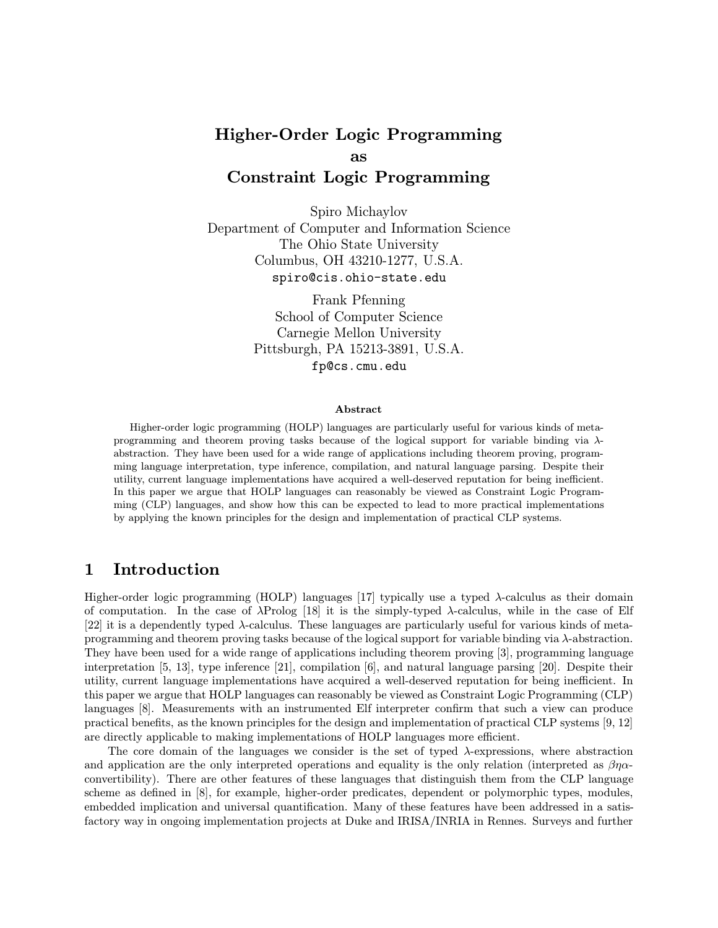# Higher-Order Logic Programming as

# Constraint Logic Programming

Spiro Michaylov Department of Computer and Information Science The Ohio State University Columbus, OH 43210-1277, U.S.A. spiro@cis.ohio-state.edu

> Frank Pfenning School of Computer Science Carnegie Mellon University Pittsburgh, PA 15213-3891, U.S.A. fp@cs.cmu.edu

#### Abstract

Higher-order logic programming (HOLP) languages are particularly useful for various kinds of metaprogramming and theorem proving tasks because of the logical support for variable binding via  $\lambda$ abstraction. They have been used for a wide range of applications including theorem proving, programming language interpretation, type inference, compilation, and natural language parsing. Despite their utility, current language implementations have acquired a well-deserved reputation for being inefficient. In this paper we argue that HOLP languages can reasonably be viewed as Constraint Logic Programming (CLP) languages, and show how this can be expected to lead to more practical implementations by applying the known principles for the design and implementation of practical CLP systems.

### 1 Introduction

Higher-order logic programming (HOLP) languages [17] typically use a typed  $\lambda$ -calculus as their domain of computation. In the case of λProlog [18] it is the simply-typed λ-calculus, while in the case of Elf [22] it is a dependently typed λ-calculus. These languages are particularly useful for various kinds of metaprogramming and theorem proving tasks because of the logical support for variable binding via  $\lambda$ -abstraction. They have been used for a wide range of applications including theorem proving [3], programming language interpretation [5, 13], type inference [21], compilation [6], and natural language parsing [20]. Despite their utility, current language implementations have acquired a well-deserved reputation for being inefficient. In this paper we argue that HOLP languages can reasonably be viewed as Constraint Logic Programming (CLP) languages [8]. Measurements with an instrumented Elf interpreter confirm that such a view can produce practical benefits, as the known principles for the design and implementation of practical CLP systems [9, 12] are directly applicable to making implementations of HOLP languages more efficient.

The core domain of the languages we consider is the set of typed  $\lambda$ -expressions, where abstraction and application are the only interpreted operations and equality is the only relation (interpreted as  $\beta\eta\alpha$ convertibility). There are other features of these languages that distinguish them from the CLP language scheme as defined in [8], for example, higher-order predicates, dependent or polymorphic types, modules, embedded implication and universal quantification. Many of these features have been addressed in a satisfactory way in ongoing implementation projects at Duke and IRISA/INRIA in Rennes. Surveys and further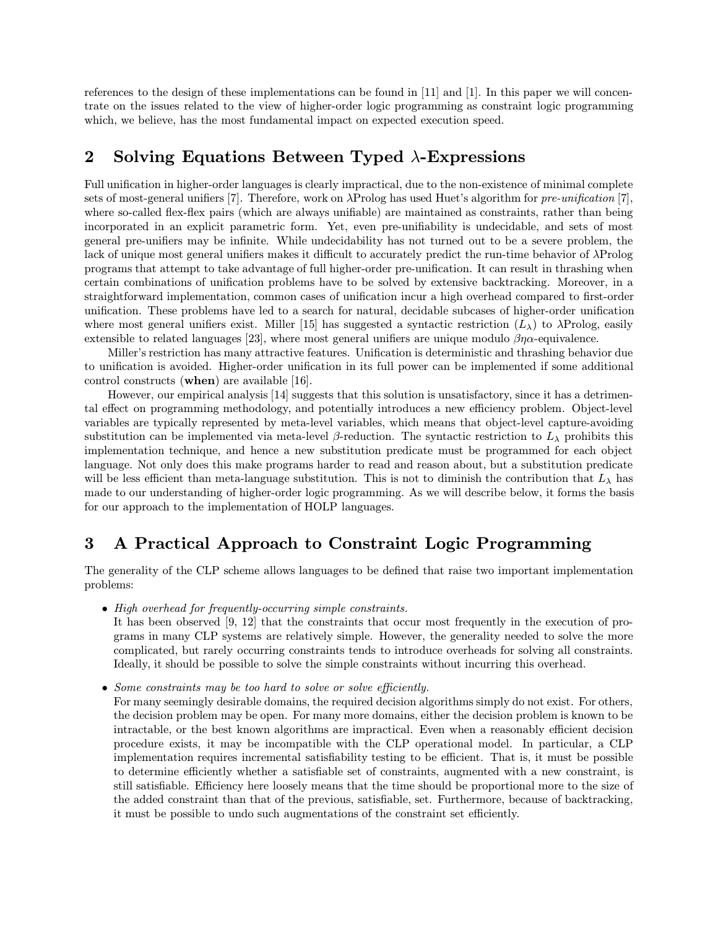references to the design of these implementations can be found in [11] and [1]. In this paper we will concentrate on the issues related to the view of higher-order logic programming as constraint logic programming which, we believe, has the most fundamental impact on expected execution speed.

## 2 Solving Equations Between Typed  $\lambda$ -Expressions

Full unification in higher-order languages is clearly impractical, due to the non-existence of minimal complete sets of most-general unifiers [7]. Therefore, work on  $\lambda$ Prolog has used Huet's algorithm for *pre-unification* [7], where so-called flex-flex pairs (which are always unifiable) are maintained as constraints, rather than being incorporated in an explicit parametric form. Yet, even pre-unifiability is undecidable, and sets of most general pre-unifiers may be infinite. While undecidability has not turned out to be a severe problem, the lack of unique most general unifiers makes it difficult to accurately predict the run-time behavior of λProlog programs that attempt to take advantage of full higher-order pre-unification. It can result in thrashing when certain combinations of unification problems have to be solved by extensive backtracking. Moreover, in a straightforward implementation, common cases of unification incur a high overhead compared to first-order unification. These problems have led to a search for natural, decidable subcases of higher-order unification where most general unifiers exist. Miller [15] has suggested a syntactic restriction  $(L_{\lambda})$  to  $\lambda$ Prolog, easily extensible to related languages [23], where most general unifiers are unique modulo  $\beta \eta \alpha$ -equivalence.

Miller's restriction has many attractive features. Unification is deterministic and thrashing behavior due to unification is avoided. Higher-order unification in its full power can be implemented if some additional control constructs (when) are available [16].

However, our empirical analysis [14] suggests that this solution is unsatisfactory, since it has a detrimental effect on programming methodology, and potentially introduces a new efficiency problem. Object-level variables are typically represented by meta-level variables, which means that object-level capture-avoiding substitution can be implemented via meta-level  $\beta$ -reduction. The syntactic restriction to  $L_{\lambda}$  prohibits this implementation technique, and hence a new substitution predicate must be programmed for each object language. Not only does this make programs harder to read and reason about, but a substitution predicate will be less efficient than meta-language substitution. This is not to diminish the contribution that  $L_{\lambda}$  has made to our understanding of higher-order logic programming. As we will describe below, it forms the basis for our approach to the implementation of HOLP languages.

### 3 A Practical Approach to Constraint Logic Programming

The generality of the CLP scheme allows languages to be defined that raise two important implementation problems:

• High overhead for frequently-occurring simple constraints.

It has been observed [9, 12] that the constraints that occur most frequently in the execution of programs in many CLP systems are relatively simple. However, the generality needed to solve the more complicated, but rarely occurring constraints tends to introduce overheads for solving all constraints. Ideally, it should be possible to solve the simple constraints without incurring this overhead.

- Some constraints may be too hard to solve or solve efficiently.
	- For many seemingly desirable domains, the required decision algorithms simply do not exist. For others, the decision problem may be open. For many more domains, either the decision problem is known to be intractable, or the best known algorithms are impractical. Even when a reasonably efficient decision procedure exists, it may be incompatible with the CLP operational model. In particular, a CLP implementation requires incremental satisfiability testing to be efficient. That is, it must be possible to determine efficiently whether a satisfiable set of constraints, augmented with a new constraint, is still satisfiable. Efficiency here loosely means that the time should be proportional more to the size of the added constraint than that of the previous, satisfiable, set. Furthermore, because of backtracking, it must be possible to undo such augmentations of the constraint set efficiently.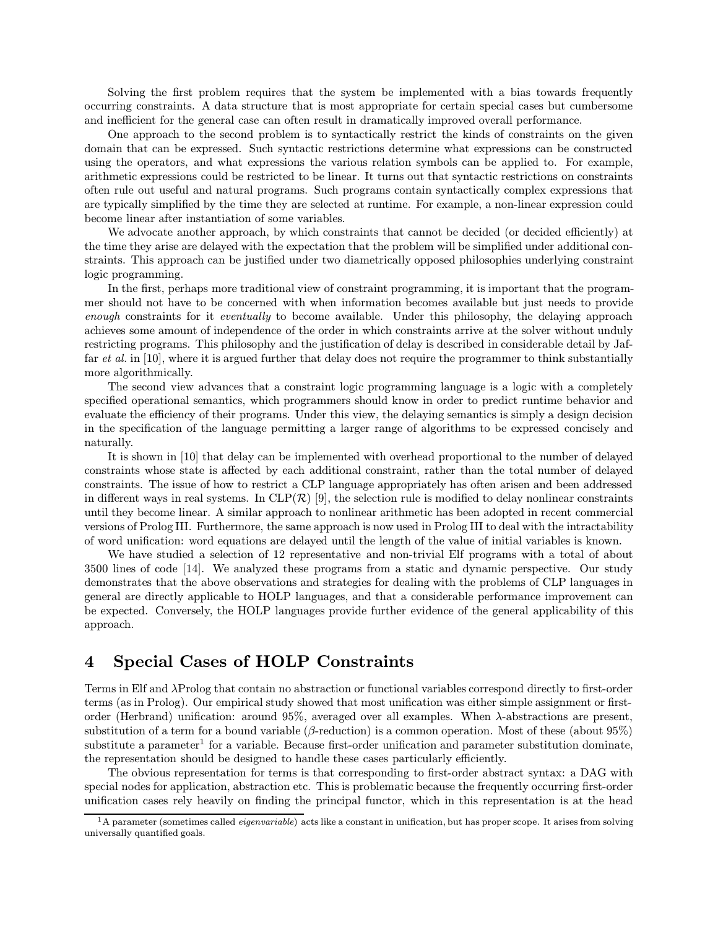Solving the first problem requires that the system be implemented with a bias towards frequently occurring constraints. A data structure that is most appropriate for certain special cases but cumbersome and inefficient for the general case can often result in dramatically improved overall performance.

One approach to the second problem is to syntactically restrict the kinds of constraints on the given domain that can be expressed. Such syntactic restrictions determine what expressions can be constructed using the operators, and what expressions the various relation symbols can be applied to. For example, arithmetic expressions could be restricted to be linear. It turns out that syntactic restrictions on constraints often rule out useful and natural programs. Such programs contain syntactically complex expressions that are typically simplified by the time they are selected at runtime. For example, a non-linear expression could become linear after instantiation of some variables.

We advocate another approach, by which constraints that cannot be decided (or decided efficiently) at the time they arise are delayed with the expectation that the problem will be simplified under additional constraints. This approach can be justified under two diametrically opposed philosophies underlying constraint logic programming.

In the first, perhaps more traditional view of constraint programming, it is important that the programmer should not have to be concerned with when information becomes available but just needs to provide enough constraints for it eventually to become available. Under this philosophy, the delaying approach achieves some amount of independence of the order in which constraints arrive at the solver without unduly restricting programs. This philosophy and the justification of delay is described in considerable detail by Jaffar *et al.* in [10], where it is argued further that delay does not require the programmer to think substantially more algorithmically.

The second view advances that a constraint logic programming language is a logic with a completely specified operational semantics, which programmers should know in order to predict runtime behavior and evaluate the efficiency of their programs. Under this view, the delaying semantics is simply a design decision in the specification of the language permitting a larger range of algorithms to be expressed concisely and naturally.

It is shown in [10] that delay can be implemented with overhead proportional to the number of delayed constraints whose state is affected by each additional constraint, rather than the total number of delayed constraints. The issue of how to restrict a CLP language appropriately has often arisen and been addressed in different ways in real systems. In CLP $(\mathcal{R})$  [9], the selection rule is modified to delay nonlinear constraints until they become linear. A similar approach to nonlinear arithmetic has been adopted in recent commercial versions of Prolog III. Furthermore, the same approach is now used in Prolog III to deal with the intractability of word unification: word equations are delayed until the length of the value of initial variables is known.

We have studied a selection of 12 representative and non-trivial Elf programs with a total of about 3500 lines of code [14]. We analyzed these programs from a static and dynamic perspective. Our study demonstrates that the above observations and strategies for dealing with the problems of CLP languages in general are directly applicable to HOLP languages, and that a considerable performance improvement can be expected. Conversely, the HOLP languages provide further evidence of the general applicability of this approach.

### 4 Special Cases of HOLP Constraints

Terms in Elf and λProlog that contain no abstraction or functional variables correspond directly to first-order terms (as in Prolog). Our empirical study showed that most unification was either simple assignment or firstorder (Herbrand) unification: around 95%, averaged over all examples. When λ-abstractions are present, substitution of a term for a bound variable ( $\beta$ -reduction) is a common operation. Most of these (about 95%) substitute a parameter<sup>1</sup> for a variable. Because first-order unification and parameter substitution dominate, the representation should be designed to handle these cases particularly efficiently.

The obvious representation for terms is that corresponding to first-order abstract syntax: a DAG with special nodes for application, abstraction etc. This is problematic because the frequently occurring first-order unification cases rely heavily on finding the principal functor, which in this representation is at the head

 $1A$  parameter (sometimes called *eigenvariable*) acts like a constant in unification, but has proper scope. It arises from solving universally quantified goals.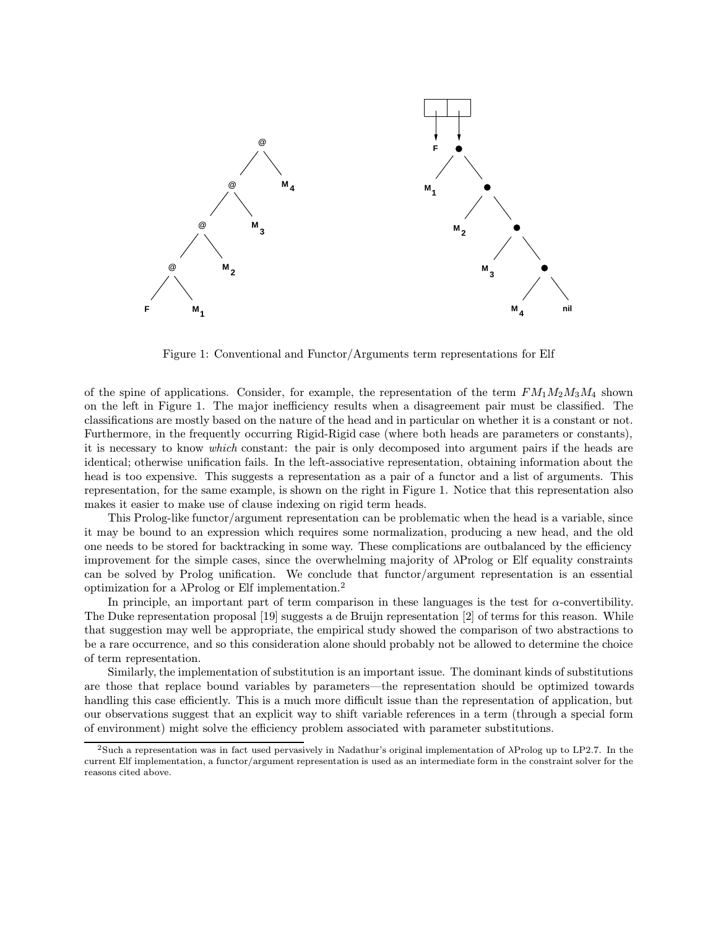

Figure 1: Conventional and Functor/Arguments term representations for Elf

of the spine of applications. Consider, for example, the representation of the term  $FM_1M_2M_3M_4$  shown on the left in Figure 1. The major inefficiency results when a disagreement pair must be classified. The classifications are mostly based on the nature of the head and in particular on whether it is a constant or not. Furthermore, in the frequently occurring Rigid-Rigid case (where both heads are parameters or constants), it is necessary to know which constant: the pair is only decomposed into argument pairs if the heads are identical; otherwise unification fails. In the left-associative representation, obtaining information about the head is too expensive. This suggests a representation as a pair of a functor and a list of arguments. This representation, for the same example, is shown on the right in Figure 1. Notice that this representation also makes it easier to make use of clause indexing on rigid term heads.

This Prolog-like functor/argument representation can be problematic when the head is a variable, since it may be bound to an expression which requires some normalization, producing a new head, and the old one needs to be stored for backtracking in some way. These complications are outbalanced by the efficiency improvement for the simple cases, since the overwhelming majority of λProlog or Elf equality constraints can be solved by Prolog unification. We conclude that functor/argument representation is an essential optimization for a  $\lambda$ Prolog or Elf implementation.<sup>2</sup>

In principle, an important part of term comparison in these languages is the test for  $\alpha$ -convertibility. The Duke representation proposal [19] suggests a de Bruijn representation [2] of terms for this reason. While that suggestion may well be appropriate, the empirical study showed the comparison of two abstractions to be a rare occurrence, and so this consideration alone should probably not be allowed to determine the choice of term representation.

Similarly, the implementation of substitution is an important issue. The dominant kinds of substitutions are those that replace bound variables by parameters—the representation should be optimized towards handling this case efficiently. This is a much more difficult issue than the representation of application, but our observations suggest that an explicit way to shift variable references in a term (through a special form of environment) might solve the efficiency problem associated with parameter substitutions.

<sup>&</sup>lt;sup>2</sup>Such a representation was in fact used pervasively in Nadathur's original implementation of  $\lambda$ Prolog up to LP2.7. In the current Elf implementation, a functor/argument representation is used as an intermediate form in the constraint solver for the reasons cited above.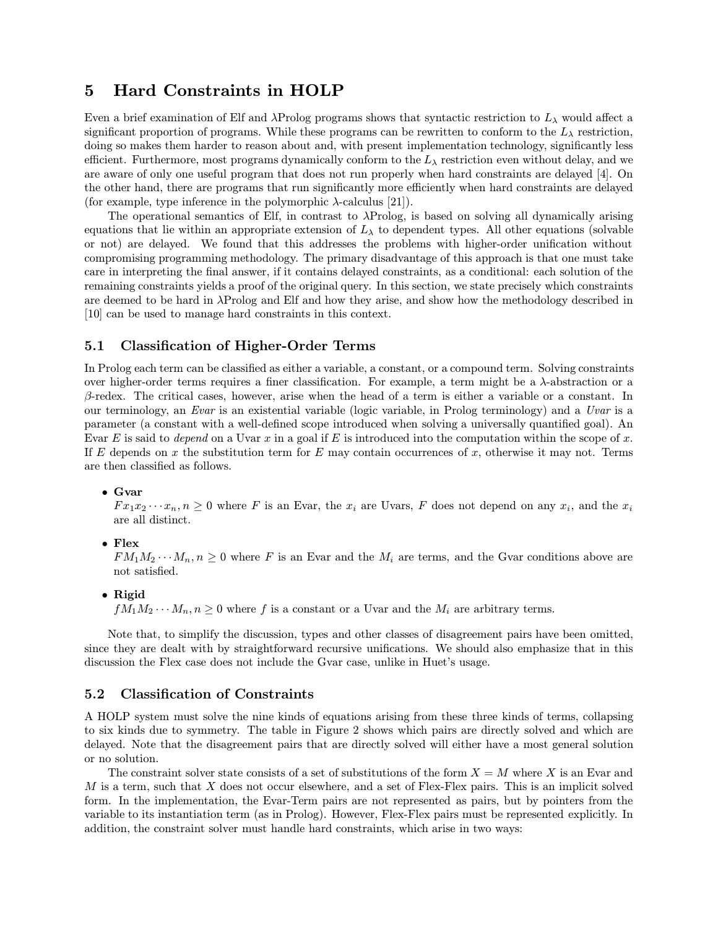### 5 Hard Constraints in HOLP

Even a brief examination of Elf and  $\lambda$ Prolog programs shows that syntactic restriction to  $L_{\lambda}$  would affect a significant proportion of programs. While these programs can be rewritten to conform to the  $L_{\lambda}$  restriction, doing so makes them harder to reason about and, with present implementation technology, significantly less efficient. Furthermore, most programs dynamically conform to the  $L_{\lambda}$  restriction even without delay, and we are aware of only one useful program that does not run properly when hard constraints are delayed [4]. On the other hand, there are programs that run significantly more efficiently when hard constraints are delayed (for example, type inference in the polymorphic  $\lambda$ -calculus [21]).

The operational semantics of Elf, in contrast to λProlog, is based on solving all dynamically arising equations that lie within an appropriate extension of  $L_{\lambda}$  to dependent types. All other equations (solvable or not) are delayed. We found that this addresses the problems with higher-order unification without compromising programming methodology. The primary disadvantage of this approach is that one must take care in interpreting the final answer, if it contains delayed constraints, as a conditional: each solution of the remaining constraints yields a proof of the original query. In this section, we state precisely which constraints are deemed to be hard in λProlog and Elf and how they arise, and show how the methodology described in [10] can be used to manage hard constraints in this context.

### 5.1 Classification of Higher-Order Terms

In Prolog each term can be classified as either a variable, a constant, or a compound term. Solving constraints over higher-order terms requires a finer classification. For example, a term might be a  $\lambda$ -abstraction or a  $\beta$ -redex. The critical cases, however, arise when the head of a term is either a variable or a constant. In our terminology, an Evar is an existential variable (logic variable, in Prolog terminology) and a Uvar is a parameter (a constant with a well-defined scope introduced when solving a universally quantified goal). An Evar E is said to depend on a Uvar x in a goal if E is introduced into the computation within the scope of x. If E depends on x the substitution term for E may contain occurrences of x, otherwise it may not. Terms are then classified as follows.

#### • Gvar

 $Fx_1x_2\cdots x_n, n\geq 0$  where F is an Evar, the  $x_i$  are Uvars, F does not depend on any  $x_i$ , and the  $x_i$ are all distinct.

• Flex

 $FM_1M_2\cdots M_n, n \geq 0$  where F is an Evar and the  $M_i$  are terms, and the Gvar conditions above are not satisfied.

#### • Rigid

 $fM_1M_2\cdots M_n, n\geq 0$  where f is a constant or a Uvar and the  $M_i$  are arbitrary terms.

Note that, to simplify the discussion, types and other classes of disagreement pairs have been omitted, since they are dealt with by straightforward recursive unifications. We should also emphasize that in this discussion the Flex case does not include the Gvar case, unlike in Huet's usage.

### 5.2 Classification of Constraints

A HOLP system must solve the nine kinds of equations arising from these three kinds of terms, collapsing to six kinds due to symmetry. The table in Figure 2 shows which pairs are directly solved and which are delayed. Note that the disagreement pairs that are directly solved will either have a most general solution or no solution.

The constraint solver state consists of a set of substitutions of the form  $X = M$  where X is an Evar and  $M$  is a term, such that  $X$  does not occur elsewhere, and a set of Flex-Flex pairs. This is an implicit solved form. In the implementation, the Evar-Term pairs are not represented as pairs, but by pointers from the variable to its instantiation term (as in Prolog). However, Flex-Flex pairs must be represented explicitly. In addition, the constraint solver must handle hard constraints, which arise in two ways: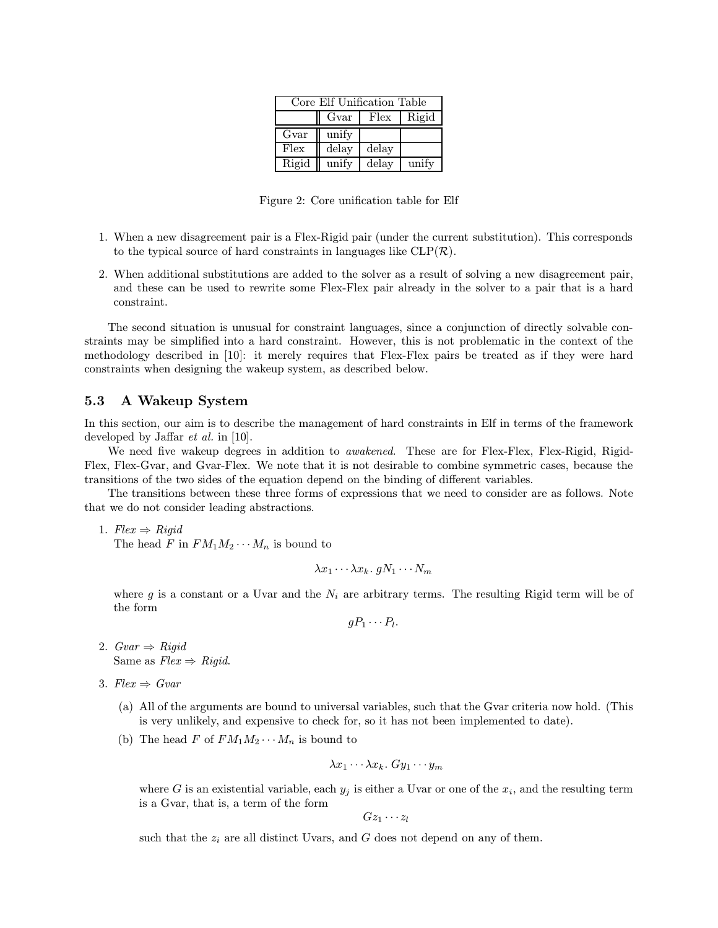| Core Elf Unification Table |       |       |       |  |  |
|----------------------------|-------|-------|-------|--|--|
|                            | Gvar  | Flex  | Rigid |  |  |
| Gvar                       | unify |       |       |  |  |
| Flex                       | delay | delay |       |  |  |
| Rigid                      | unify | delay | unify |  |  |

Figure 2: Core unification table for Elf

- 1. When a new disagreement pair is a Flex-Rigid pair (under the current substitution). This corresponds to the typical source of hard constraints in languages like  $CLP(\mathcal{R})$ .
- 2. When additional substitutions are added to the solver as a result of solving a new disagreement pair, and these can be used to rewrite some Flex-Flex pair already in the solver to a pair that is a hard constraint.

The second situation is unusual for constraint languages, since a conjunction of directly solvable constraints may be simplified into a hard constraint. However, this is not problematic in the context of the methodology described in [10]: it merely requires that Flex-Flex pairs be treated as if they were hard constraints when designing the wakeup system, as described below.

### 5.3 A Wakeup System

In this section, our aim is to describe the management of hard constraints in Elf in terms of the framework developed by Jaffar *et al.* in [10].

We need five wakeup degrees in addition to *awakened*. These are for Flex-Flex, Flex-Rigid, Rigid-Flex, Flex-Gvar, and Gvar-Flex. We note that it is not desirable to combine symmetric cases, because the transitions of the two sides of the equation depend on the binding of different variables.

The transitions between these three forms of expressions that we need to consider are as follows. Note that we do not consider leading abstractions.

1.  $Flex \Rightarrow Riqid$ The head F in  $FM_1M_2\cdots M_n$  is bound to

$$
\lambda x_1 \cdots \lambda x_k.\ gN_1 \cdots N_m
$$

where g is a constant or a Uvar and the  $N_i$  are arbitrary terms. The resulting Rigid term will be of the form

 $qP_1 \cdots P_l$ .

- 2.  $Gvar \Rightarrow Rigid$ Same as  $Flex \Rightarrow Riqid$ .
- 3.  $Flex \Rightarrow Gvar$ 
	- (a) All of the arguments are bound to universal variables, such that the Gvar criteria now hold. (This is very unlikely, and expensive to check for, so it has not been implemented to date).
	- (b) The head F of  $FM_1M_2\cdots M_n$  is bound to

$$
\lambda x_1 \cdots \lambda x_k. \; Gy_1 \cdots y_m
$$

where G is an existential variable, each  $y_j$  is either a Uvar or one of the  $x_i$ , and the resulting term is a Gvar, that is, a term of the form

$$
Gz_1\cdots z_l
$$

such that the  $z_i$  are all distinct Uvars, and G does not depend on any of them.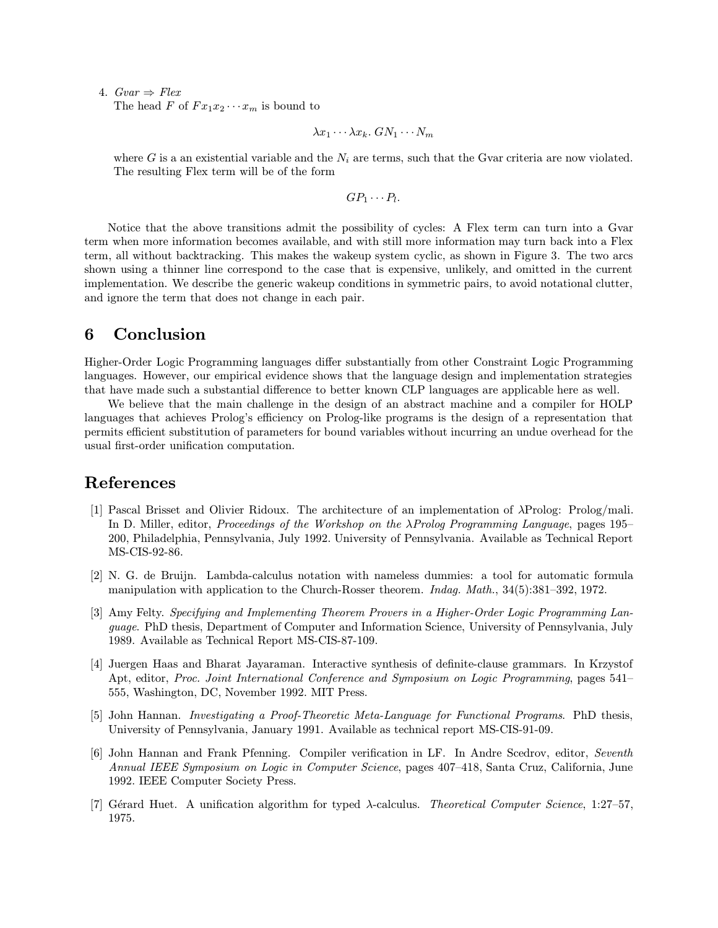4.  $Gvar \Rightarrow Flex$ The head F of  $Fx_1x_2\cdots x_m$  is bound to

 $\lambda x_1 \cdots \lambda x_k$ .  $GN_1 \cdots N_m$ 

where G is a an existential variable and the  $N_i$  are terms, such that the Gvar criteria are now violated. The resulting Flex term will be of the form

$$
GP_1 \cdots P_l.
$$

Notice that the above transitions admit the possibility of cycles: A Flex term can turn into a Gvar term when more information becomes available, and with still more information may turn back into a Flex term, all without backtracking. This makes the wakeup system cyclic, as shown in Figure 3. The two arcs shown using a thinner line correspond to the case that is expensive, unlikely, and omitted in the current implementation. We describe the generic wakeup conditions in symmetric pairs, to avoid notational clutter, and ignore the term that does not change in each pair.

## 6 Conclusion

Higher-Order Logic Programming languages differ substantially from other Constraint Logic Programming languages. However, our empirical evidence shows that the language design and implementation strategies that have made such a substantial difference to better known CLP languages are applicable here as well.

We believe that the main challenge in the design of an abstract machine and a compiler for HOLP languages that achieves Prolog's efficiency on Prolog-like programs is the design of a representation that permits efficient substitution of parameters for bound variables without incurring an undue overhead for the usual first-order unification computation.

### References

- [1] Pascal Brisset and Olivier Ridoux. The architecture of an implementation of λProlog: Prolog/mali. In D. Miller, editor, *Proceedings of the Workshop on the*  $\lambda$ *Prolog Programming Language*, pages 195– 200, Philadelphia, Pennsylvania, July 1992. University of Pennsylvania. Available as Technical Report MS-CIS-92-86.
- [2] N. G. de Bruijn. Lambda-calculus notation with nameless dummies: a tool for automatic formula manipulation with application to the Church-Rosser theorem. Indag. Math., 34(5):381–392, 1972.
- [3] Amy Felty. Specifying and Implementing Theorem Provers in a Higher-Order Logic Programming Language. PhD thesis, Department of Computer and Information Science, University of Pennsylvania, July 1989. Available as Technical Report MS-CIS-87-109.
- [4] Juergen Haas and Bharat Jayaraman. Interactive synthesis of definite-clause grammars. In Krzystof Apt, editor, Proc. Joint International Conference and Symposium on Logic Programming, pages 541– 555, Washington, DC, November 1992. MIT Press.
- [5] John Hannan. Investigating a Proof-Theoretic Meta-Language for Functional Programs. PhD thesis, University of Pennsylvania, January 1991. Available as technical report MS-CIS-91-09.
- [6] John Hannan and Frank Pfenning. Compiler verification in LF. In Andre Scedrov, editor, Seventh Annual IEEE Symposium on Logic in Computer Science, pages 407–418, Santa Cruz, California, June 1992. IEEE Computer Society Press.
- [7] Gérard Huet. A unification algorithm for typed λ-calculus. Theoretical Computer Science, 1:27–57, 1975.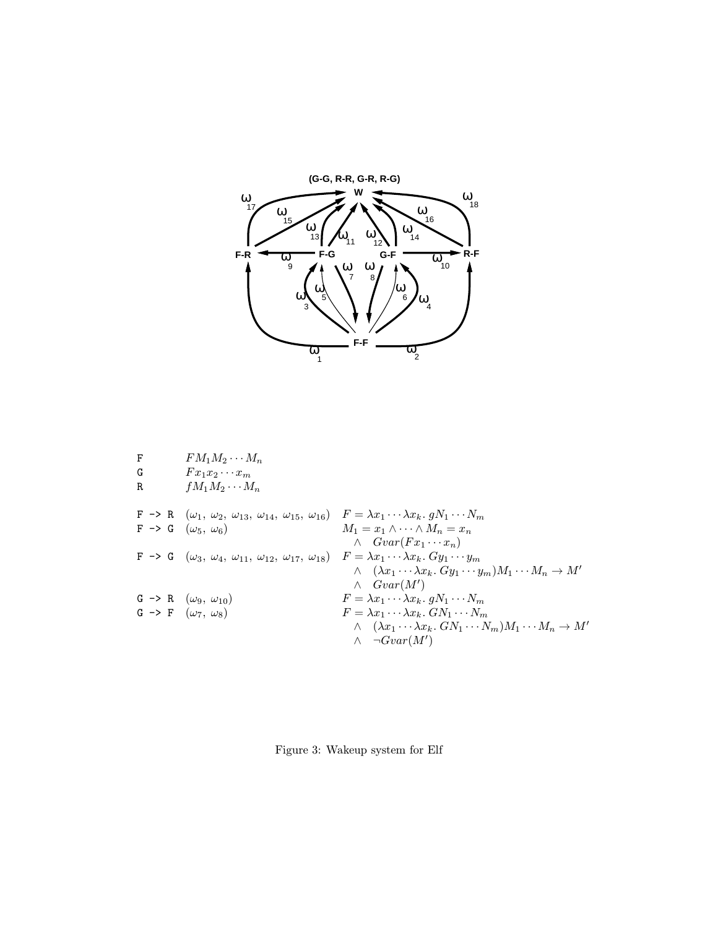

| F<br>G<br>R |  | $FM_1M_2\cdots M_n$<br>$Fx_1x_2\cdots x_m$<br>$fM_1M_2\cdots M_n$                                                                                                   |                                                                                                                                                                                      |
|-------------|--|---------------------------------------------------------------------------------------------------------------------------------------------------------------------|--------------------------------------------------------------------------------------------------------------------------------------------------------------------------------------|
|             |  | $F \rightarrow R$ $(\omega_1, \omega_2, \omega_{13}, \omega_{14}, \omega_{15}, \omega_{16})$ $F = \lambda x_1 \cdots \lambda x_k$ . $gN_1 \cdots N_m$               |                                                                                                                                                                                      |
|             |  | $F \rightarrow G \ (\omega_5, \ \omega_6)$                                                                                                                          | $M_1 = x_1 \wedge \cdots \wedge M_n = x_n$<br>$\wedge \quad Gvar(Fx_1 \cdots x_n)$                                                                                                   |
|             |  | $F \rightarrow G \ (\omega_3, \ \omega_4, \ \omega_{11}, \ \omega_{12}, \ \omega_{17}, \ \omega_{18}) \quad F = \lambda x_1 \cdots \lambda x_k. \ G y_1 \cdots y_m$ | $\wedge \quad (\lambda x_1 \cdots \lambda x_k. \ G y_1 \cdots y_m) M_1 \cdots M_n \rightarrow M'$<br>$\wedge$ $Gvar(M')$                                                             |
|             |  | $G \rightarrow R \ (\omega_9, \ \omega_{10})$                                                                                                                       | $F = \lambda x_1 \cdots \lambda x_k$ . $gN_1 \cdots N_m$                                                                                                                             |
|             |  | $G \rightarrow F \ (\omega_7, \ \omega_8)$                                                                                                                          | $F = \lambda x_1 \cdots \lambda x_k$ . $GN_1 \cdots N_m$<br>$\wedge$ $(\lambda x_1 \cdots \lambda x_k. GN_1 \cdots N_m)M_1 \cdots M_n \rightarrow M'$<br>$\neg Gvar(M')$<br>$\wedge$ |
|             |  |                                                                                                                                                                     |                                                                                                                                                                                      |

Figure 3: Wakeup system for Elf